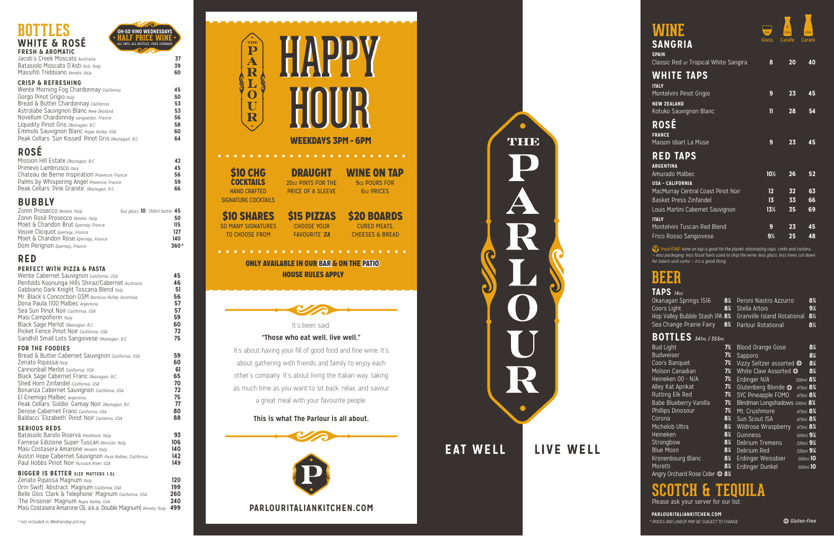

Jacob's Creek Moscato *Australia* **37** Batasiolo Moscato D'Asti *Asti, Italy* **39** Massifiti Trebbiano *Veneto, Italy* **60 CRISP & REFRESHING** Wente Morning Fog Chardonnay *California* **45** Gorgo Pinot Grigio *Italy* 50<br>Bread & Butter Chardonnay *california* 653 Bread & Butter Chardonnay *California* **53** Astrolabe Sauvignon Blanc *New Zealand* **53** Novellum Chardonnay *Languedoc, France* **56 Liquidity Pinot Gris** *Okanagan, B.C.* Emmolo Sauvignon Blanc *Napa Valley, USA* **60**

Peak Cellars 'Sun Kissed' Pinot Gris *Okanagan, B.C* **64**

## **ROSÉ**

| Mission Hill Estate Okanagan, B.C             | 42 |
|-----------------------------------------------|----|
| Primevo Lambrusco Italy                       | 45 |
| Chateau de Berne Inspiration Provence, France | 56 |
| Palms by Whispering Angel Provence, France    | 59 |
| Peak Cellars 'Pink Granite' Okanagan, B.C.    | 66 |

#### **BUBBLY**

### **RED**

#### **PERFECT WITH PIZZA & PASTA**

| Wente Cabernet Sauvignon California, USA<br>Penfolds Koonunga Hills Shiraz/Cabernet Australia<br>Gabbiano Dark Knight Toscana Blend Italy<br>Mr. Black's Concoction GSM Barossa Valley, Australia<br>Dona Paula 1100 Malbec Argentina<br>Sea Sun Pinot Noir california. USA<br>Masi Campofiorin Italy<br>Black Sage Merlot Okanagan, B.C.<br>Picket Fence Pinot Noir california, USA<br>Sandhill Small Lots Sangiovese Okanagan, B.C.              | 45<br>46<br>51<br>56<br>57<br>57<br>59<br>60<br>72<br>75 |
|----------------------------------------------------------------------------------------------------------------------------------------------------------------------------------------------------------------------------------------------------------------------------------------------------------------------------------------------------------------------------------------------------------------------------------------------------|----------------------------------------------------------|
| <b>FOR THE FOODIES</b><br>Bread & Butter Cabernet Sauvignon California, USA<br>Zenato Ripassa Italy<br>Cannonball Merlot california USA<br>Black Sage Cabernet Franc Okanagan, B.C<br>Shed Horn Zinfandel california, USA<br>Bonanza Cabernet Sauvignon California, USA<br>El Enemigo Malbec Argentina<br>Peak Cellars 'Goldie' Gamay Noir Okanagan, B.C<br>Derose Cabernet Franc California, USA<br>Baldacci 'Elizabeth' Pinot Noir Carneros, USA | 59<br>60<br>61<br>65<br>70<br>72<br>75<br>77<br>80<br>88 |
| <b>SERIOUS REDS</b><br>Batasiolo Barolo Riserva Piedmont, Italy<br>Farnese Edizione Super Tuscan Abruzzo, Italy<br>Masi Costasera Amarone Veneto, Italy<br>Austin Hope Cabernet Sauvignon Paso Robles, California<br>Paul Hobbs Pinot Noir Russian River USA                                                                                                                                                                                       | 93<br>106<br>140<br>142<br>149                           |
| <b>BIGGER IS BETTER SIZE MATTERS 1.5L</b><br>Zenato Ripassa Magnum Italy<br>Orin Swift 'Abstract' Magnum California, USA<br>Belle Glos 'Clark & Telephone' Magnum california, USA<br>'The Prisoner' Magnum Napa Valley, USA                                                                                                                                                                                                                        | 120<br>199<br>260<br>240                                 |

#### \$10 CHG **COCKTAILS**

\$10 SHARES SO MANY SIGNATURES

Masi Costasera Amarone (3L a.k.a. Double Magnum) *Veneto, Italy* **499**

**149** 

#### **"Those who eat well, live well."**

*f* freshTAP wine on tap is good for the planet; eliminating caps, corks and cartons *— less packaging, less fossil fuels used to ship the wine, less glass, less trees cut down for labels and corks — it's a good thing.* 

It's about having your fill of good food and fine wine. It's about gathering with friends and family to enjoy each other's company. It's about living the Italian way, taking as much time as you want to sit back, relax, and savour a great meal with your favourite people.

#### **This is what The Parlour is all about.**



# THE **EAT WELL** LIVE WELL

| Zonin Prosecco Veneto, Italy        | 6oz glass 10 750ml bottle 45 |
|-------------------------------------|------------------------------|
| Zonin Rosé Prosecco Veneto, Italy   | 50                           |
| Moët & Chandon Brut Epernay, France | 115                          |
| Veuve Clicquot Epernay, France      | 127                          |
| Moet & Chandon Rose Epernay, France | 140                          |
| Dom Perignon Epernay, France        | $360*$                       |

# **BEER**

| <b>TAPS</b> $140Z$                                            |    |                              |                |
|---------------------------------------------------------------|----|------------------------------|----------------|
| Okanagan Springs 1516                                         | 8¼ | Peroni Nastro Azzurro        | $8\%$          |
| Coors Light                                                   |    | 8 <sup>%</sup> Stella Artois | 9 <sub>4</sub> |
| Hop Valley Bubble Stash IPA 8% Granville Island Rotational 8% |    |                              |                |
| Sea Change Prairie Fairy 8%                                   |    | Parlour Rotational           | 8½             |

#### **BOTTLES**  $341$ *ml* / 355

| <b>WINE</b><br><b>SANGRIA</b><br><b>SPAIN</b>                 | 60Z<br>Glass    | $\frac{1}{2}$<br>Litre<br>Carafe | Litre<br>Carafe |
|---------------------------------------------------------------|-----------------|----------------------------------|-----------------|
| Classic Red or Tropical White Sangira                         | 8               | 20                               | 40              |
| <b>WHITE TAPS</b><br><b>ITALY</b>                             |                 |                                  |                 |
| Montelvini Pinot Grigio                                       | 9               | 23                               | 45              |
| <b>NEW ZEALAND</b><br>Kotuko Sauvignon Blanc                  | Ш               | 28                               | 54              |
| ROSÉ                                                          |                 |                                  |                 |
| <b>FRANCE</b><br>Maison Idiart La Muse                        | 9               | 23                               | 45              |
| <b>RED TAPS</b>                                               |                 |                                  |                 |
| <b>ARGENTINA</b><br>Amurado Malbec                            | 10 <sub>2</sub> | 26                               | 52              |
| <b>USA - CALIFORNIA</b><br>MacMurray Central Coast Pinot Noir | 12              | 32                               | 63              |
| Basket Press Zinfandel                                        | 13              | 33                               | 66              |
| Louis Martini Cabernet Sauvignon                              | 13½             | 35                               | 69              |
| <b>ITALY</b>                                                  |                 |                                  |                 |
| Montelvini Tuscan Red Blend                                   | 9               | 23                               | 45              |
| Frico Rosso Sangiovese                                        | 9½              | 25                               | 48              |

| <b>Bud Light</b>                      | 7¼             | <b>Blood Orange Gose</b>            |                                       | 8¼             |
|---------------------------------------|----------------|-------------------------------------|---------------------------------------|----------------|
| <b>Budweiser</b>                      | $7\frac{1}{4}$ | Sapporo                             |                                       | 8¼             |
| Coors Banquet                         | 7%             | Vizzy Seltzer assorted <sup>1</sup> |                                       | 8¼             |
| Molson Canadian                       | 7¼             | White Claw Assorted <sup>1</sup>    |                                       | 8 <sub>4</sub> |
| Heineken 00 - N/A                     | 7¼             | Erdinger N/A                        | 500ml 8 <sup>3</sup> / <sub>4</sub>   |                |
| Alley Kat Aprikat                     | 7¼             | Glutenberg Blonde $\Phi$            | 473ml 8 <sup>3</sup> /4               |                |
| Rutting Elk Red                       | 7¼             | SYC Pineapple FOMO                  | $473ml$ 8 <sup>3</sup> / <sub>4</sub> |                |
| <b>Babe Blueberry Vanilla</b>         | 7¼             | Blindman Longshadows 500ml 8%       |                                       |                |
| Phillips Dinosour                     | 7¼             | Mt. Crushmore                       | $473ml$ 8 <sup>3</sup> / <sub>4</sub> |                |
| Corona                                | 8¼             | Sun Scout ISA                       | $473ml$ 8 <sup>3</sup> / <sub>4</sub> |                |
| Michelob Ultra                        | 8¼             | <b>Wildrose Wraspberry</b>          | 473ml 8 <sup>3</sup> /4               |                |
| Heineken                              | 8¼             | Guinness                            | 500ml 9 <sup>1</sup>                  |                |
| Strongbow                             | 8¼             | <b>Delirium Tremens</b>             | 330ml 9 <sup>1</sup>                  |                |
| <b>Blue Moon</b>                      | 8¼             | Delirium Red                        | 330ml 9 <sup>1</sup>                  |                |
| Kronenbourg Blanc                     | 8¼             | Erdinger Weissbier                  | 500ml 10                              |                |
| Moretti                               | 8¼             | Erdinger Dunkel                     | 500ml 10                              |                |
| Angry Orchard Rose Cider <sup>1</sup> | 8 <sub>4</sub> |                                     |                                       |                |

# **SCOTCH & TEQUILA**

Please ask your server for our list.



#### **PARLOURITALIANKITCHEN.COM**

#### ONLY AVAILABLE IN OUR BAR & ON THE PATIO HOUSE RULES APPLY

HAND CRAFTED SIGNATURE COCKTAILS

DRAUGHT 20oz PINTS FOR THE PRICE OF A SLEEVE

It's been said,

WINE ON TAP

<sup>9</sup>oz POURS FOR 6oz PRICES

TO CHOOSE FROM

CHOOSE YOUR FAVOURITE *'ZA*

\$15 PIZZAS \$20 BOARDS CURED MEATS,

CHEESES & BREAD



*\* not included in Wednesday pricing* 

*\* PRICES AND LINEUP MAY BE SUBJECT TO CHANGE*